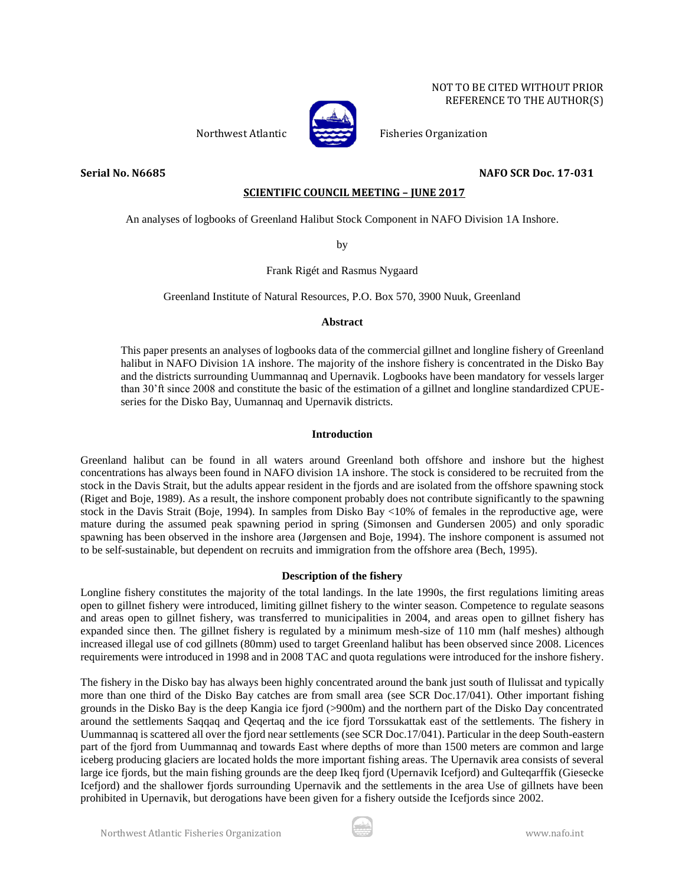



Northwest Atlantic Fisheries Organization

# **Serial No. N6685 NAFO SCR Doc. 17-031**

# **SCIENTIFIC COUNCIL MEETING – JUNE 2017**

An analyses of logbooks of Greenland Halibut Stock Component in NAFO Division 1A Inshore.

by

Frank Rigét and Rasmus Nygaard

Greenland Institute of Natural Resources, P.O. Box 570, 3900 Nuuk, Greenland

# **Abstract**

This paper presents an analyses of logbooks data of the commercial gillnet and longline fishery of Greenland halibut in NAFO Division 1A inshore. The majority of the inshore fishery is concentrated in the Disko Bay and the districts surrounding Uummannaq and Upernavik. Logbooks have been mandatory for vessels larger than 30'ft since 2008 and constitute the basic of the estimation of a gillnet and longline standardized CPUEseries for the Disko Bay, Uumannaq and Upernavik districts.

# **Introduction**

Greenland halibut can be found in all waters around Greenland both offshore and inshore but the highest concentrations has always been found in NAFO division 1A inshore. The stock is considered to be recruited from the stock in the Davis Strait, but the adults appear resident in the fjords and are isolated from the offshore spawning stock (Riget and Boje, 1989). As a result, the inshore component probably does not contribute significantly to the spawning stock in the Davis Strait (Boje, 1994). In samples from Disko Bay <10% of females in the reproductive age, were mature during the assumed peak spawning period in spring (Simonsen and Gundersen 2005) and only sporadic spawning has been observed in the inshore area (Jørgensen and Boje, 1994). The inshore component is assumed not to be self-sustainable, but dependent on recruits and immigration from the offshore area (Bech, 1995).

# **Description of the fishery**

Longline fishery constitutes the majority of the total landings. In the late 1990s, the first regulations limiting areas open to gillnet fishery were introduced, limiting gillnet fishery to the winter season. Competence to regulate seasons and areas open to gillnet fishery, was transferred to municipalities in 2004, and areas open to gillnet fishery has expanded since then. The gillnet fishery is regulated by a minimum mesh-size of 110 mm (half meshes) although increased illegal use of cod gillnets (80mm) used to target Greenland halibut has been observed since 2008. Licences requirements were introduced in 1998 and in 2008 TAC and quota regulations were introduced for the inshore fishery.

The fishery in the Disko bay has always been highly concentrated around the bank just south of Ilulissat and typically more than one third of the Disko Bay catches are from small area (see SCR Doc.17/041). Other important fishing grounds in the Disko Bay is the deep Kangia ice fjord (>900m) and the northern part of the Disko Day concentrated around the settlements Saqqaq and Qeqertaq and the ice fjord Torssukattak east of the settlements. The fishery in Uummannaq is scattered all over the fjord near settlements (see SCR Doc.17/041). Particular in the deep South-eastern part of the fjord from Uummannaq and towards East where depths of more than 1500 meters are common and large iceberg producing glaciers are located holds the more important fishing areas. The Upernavik area consists of several large ice fjords, but the main fishing grounds are the deep Ikeq fjord (Upernavik Icefjord) and Gulteqarffik (Giesecke Icefjord) and the shallower fjords surrounding Upernavik and the settlements in the area Use of gillnets have been prohibited in Upernavik, but derogations have been given for a fishery outside the Icefjords since 2002.

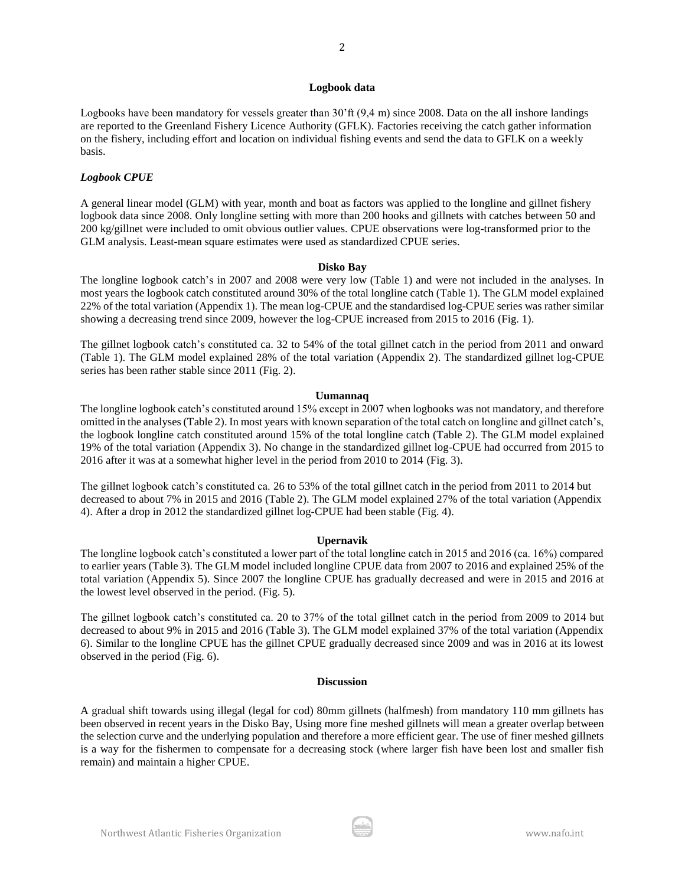### **Logbook data**

2

Logbooks have been mandatory for vessels greater than 30'ft (9,4 m) since 2008. Data on the all inshore landings are reported to the Greenland Fishery Licence Authority (GFLK). Factories receiving the catch gather information on the fishery, including effort and location on individual fishing events and send the data to GFLK on a weekly basis.

## *Logbook CPUE*

A general linear model (GLM) with year, month and boat as factors was applied to the longline and gillnet fishery logbook data since 2008. Only longline setting with more than 200 hooks and gillnets with catches between 50 and 200 kg/gillnet were included to omit obvious outlier values. CPUE observations were log-transformed prior to the GLM analysis. Least-mean square estimates were used as standardized CPUE series.

### **Disko Bay**

The longline logbook catch's in 2007 and 2008 were very low (Table 1) and were not included in the analyses. In most years the logbook catch constituted around 30% of the total longline catch (Table 1). The GLM model explained 22% of the total variation (Appendix 1). The mean log-CPUE and the standardised log-CPUE series was rather similar showing a decreasing trend since 2009, however the log-CPUE increased from 2015 to 2016 (Fig. 1).

The gillnet logbook catch's constituted ca. 32 to 54% of the total gillnet catch in the period from 2011 and onward (Table 1). The GLM model explained 28% of the total variation (Appendix 2). The standardized gillnet log-CPUE series has been rather stable since 2011 (Fig. 2).

### **Uumannaq**

The longline logbook catch's constituted around 15% except in 2007 when logbooks was not mandatory, and therefore omitted in the analyses (Table 2). In most years with known separation of the total catch on longline and gillnet catch's, the logbook longline catch constituted around 15% of the total longline catch (Table 2). The GLM model explained 19% of the total variation (Appendix 3). No change in the standardized gillnet log-CPUE had occurred from 2015 to 2016 after it was at a somewhat higher level in the period from 2010 to 2014 (Fig. 3).

The gillnet logbook catch's constituted ca. 26 to 53% of the total gillnet catch in the period from 2011 to 2014 but decreased to about 7% in 2015 and 2016 (Table 2). The GLM model explained 27% of the total variation (Appendix 4). After a drop in 2012 the standardized gillnet log-CPUE had been stable (Fig. 4).

## **Upernavik**

The longline logbook catch's constituted a lower part of the total longline catch in 2015 and 2016 (ca. 16%) compared to earlier years (Table 3). The GLM model included longline CPUE data from 2007 to 2016 and explained 25% of the total variation (Appendix 5). Since 2007 the longline CPUE has gradually decreased and were in 2015 and 2016 at the lowest level observed in the period. (Fig. 5).

The gillnet logbook catch's constituted ca. 20 to 37% of the total gillnet catch in the period from 2009 to 2014 but decreased to about 9% in 2015 and 2016 (Table 3). The GLM model explained 37% of the total variation (Appendix 6). Similar to the longline CPUE has the gillnet CPUE gradually decreased since 2009 and was in 2016 at its lowest observed in the period (Fig. 6).

### **Discussion**

A gradual shift towards using illegal (legal for cod) 80mm gillnets (halfmesh) from mandatory 110 mm gillnets has been observed in recent years in the Disko Bay, Using more fine meshed gillnets will mean a greater overlap between the selection curve and the underlying population and therefore a more efficient gear. The use of finer meshed gillnets is a way for the fishermen to compensate for a decreasing stock (where larger fish have been lost and smaller fish remain) and maintain a higher CPUE.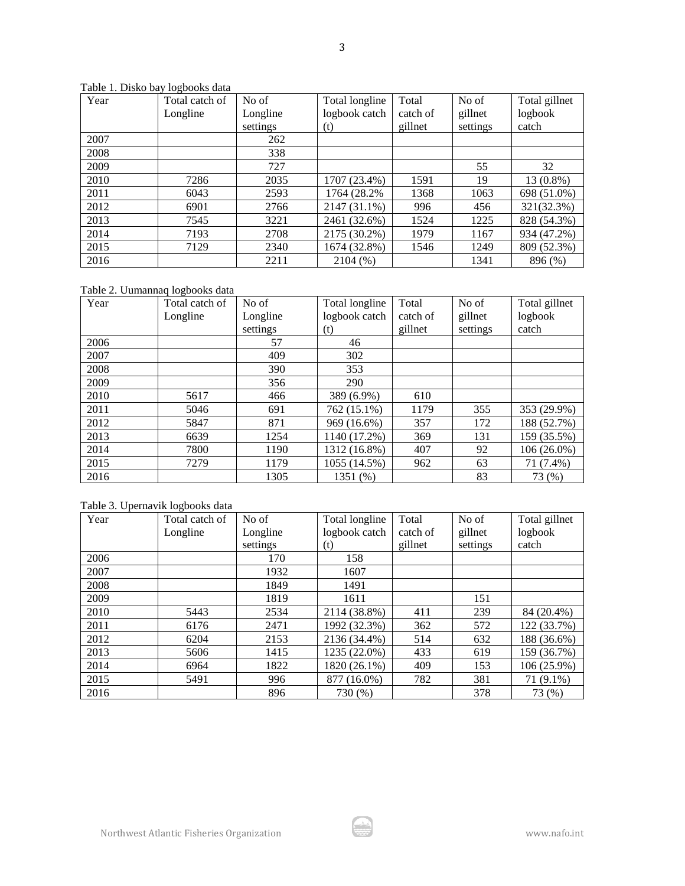| Year | Total catch of | No of    | Total longline | Total    | No of    | Total gillnet |
|------|----------------|----------|----------------|----------|----------|---------------|
|      | Longline       | Longline | logbook catch  | catch of | gillnet  | logbook       |
|      |                | settings | (t)            | gillnet  | settings | catch         |
| 2007 |                | 262      |                |          |          |               |
| 2008 |                | 338      |                |          |          |               |
| 2009 |                | 727      |                |          | 55       | 32            |
| 2010 | 7286           | 2035     | 1707 (23.4%)   | 1591     | 19       | 13 (0.8%)     |
| 2011 | 6043           | 2593     | 1764 (28.2%)   | 1368     | 1063     | 698 (51.0%)   |
| 2012 | 6901           | 2766     | 2147 (31.1%)   | 996      | 456      | 321(32.3%)    |
| 2013 | 7545           | 3221     | 2461 (32.6%)   | 1524     | 1225     | 828 (54.3%)   |
| 2014 | 7193           | 2708     | 2175 (30.2%)   | 1979     | 1167     | 934 (47.2%)   |
| 2015 | 7129           | 2340     | 1674 (32.8%)   | 1546     | 1249     | 809 (52.3%)   |
| 2016 |                | 2211     | 2104(%)        |          | 1341     | 896 (%)       |

Table 1. Disko bay logbooks data

Table 2. Uumannaq logbooks data

| Year | Total catch of | No of    | Total longline | Total    | No of    | Total gillnet |
|------|----------------|----------|----------------|----------|----------|---------------|
|      | Longline       | Longline | logbook catch  | catch of | gillnet  | logbook       |
|      |                | settings | (t)            | gillnet  | settings | catch         |
| 2006 |                | 57       | 46             |          |          |               |
| 2007 |                | 409      | 302            |          |          |               |
| 2008 |                | 390      | 353            |          |          |               |
| 2009 |                | 356      | 290            |          |          |               |
| 2010 | 5617           | 466      | 389 (6.9%)     | 610      |          |               |
| 2011 | 5046           | 691      | 762 (15.1%)    | 1179     | 355      | 353 (29.9%)   |
| 2012 | 5847           | 871      | 969 (16.6%)    | 357      | 172      | 188 (52.7%)   |
| 2013 | 6639           | 1254     | 1140 (17.2%)   | 369      | 131      | 159 (35.5%)   |
| 2014 | 7800           | 1190     | 1312 (16.8%)   | 407      | 92       | 106 (26.0%)   |
| 2015 | 7279           | 1179     | 1055 (14.5%)   | 962      | 63       | 71 (7.4%)     |
| 2016 |                | 1305     | 1351 (%)       |          | 83       | 73 (%)        |

# Table 3. Upernavik logbooks data

| Year | Total catch of | No of    | Total longline | Total    | No of    | Total gillnet |
|------|----------------|----------|----------------|----------|----------|---------------|
|      | Longline       | Longline | logbook catch  | catch of | gillnet  | logbook       |
|      |                | settings | (t)            | gillnet  | settings | catch         |
| 2006 |                | 170      | 158            |          |          |               |
| 2007 |                | 1932     | 1607           |          |          |               |
| 2008 |                | 1849     | 1491           |          |          |               |
| 2009 |                | 1819     | 1611           |          | 151      |               |
| 2010 | 5443           | 2534     | 2114 (38.8%)   | 411      | 239      | 84 (20.4%)    |
| 2011 | 6176           | 2471     | 1992 (32.3%)   | 362      | 572      | 122 (33.7%)   |
| 2012 | 6204           | 2153     | 2136 (34.4%)   | 514      | 632      | 188 (36.6%)   |
| 2013 | 5606           | 1415     | 1235 (22.0%)   | 433      | 619      | 159 (36.7%)   |
| 2014 | 6964           | 1822     | 1820 (26.1%)   | 409      | 153      | 106 (25.9%)   |
| 2015 | 5491           | 996      | 877 (16.0%)    | 782      | 381      | 71 (9.1%)     |
| 2016 |                | 896      | 730 (%)        |          | 378      | 73 (%)        |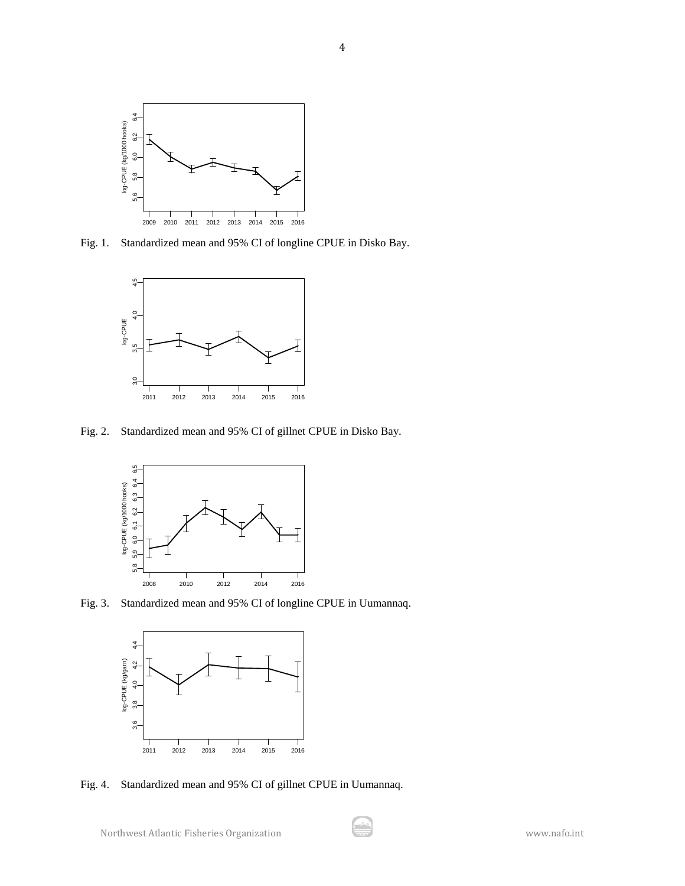

Fig. 1. Standardized mean and 95% CI of longline CPUE in Disko Bay.



Fig. 2. Standardized mean and 95% CI of gillnet CPUE in Disko Bay.



Fig. 3. Standardized mean and 95% CI of longline CPUE in Uumannaq.



Fig. 4. Standardized mean and 95% CI of gillnet CPUE in Uumannaq.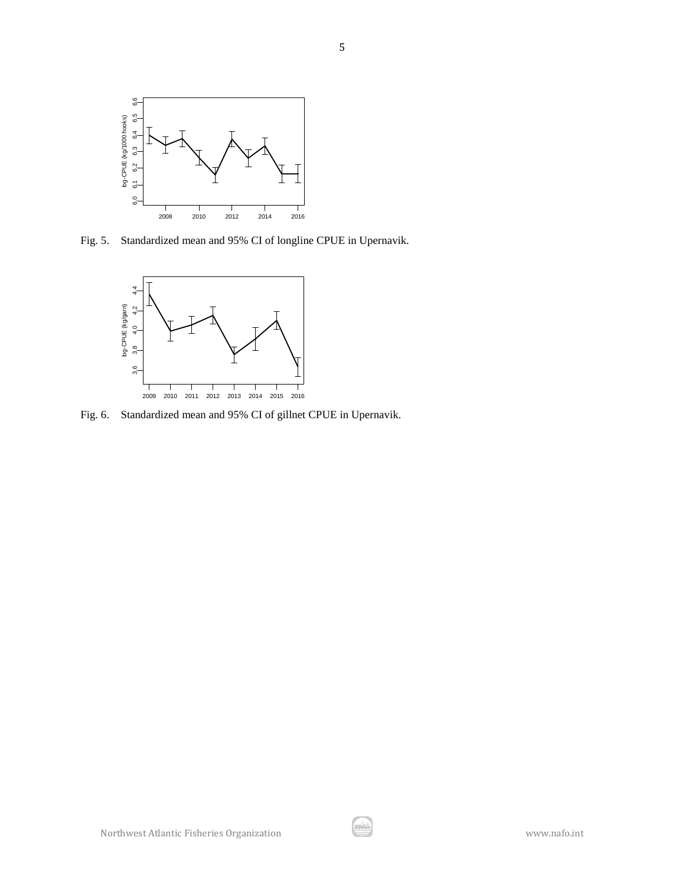

Fig. 5. Standardized mean and 95% CI of longline CPUE in Upernavik.



Fig. 6. Standardized mean and 95% CI of gillnet CPUE in Upernavik.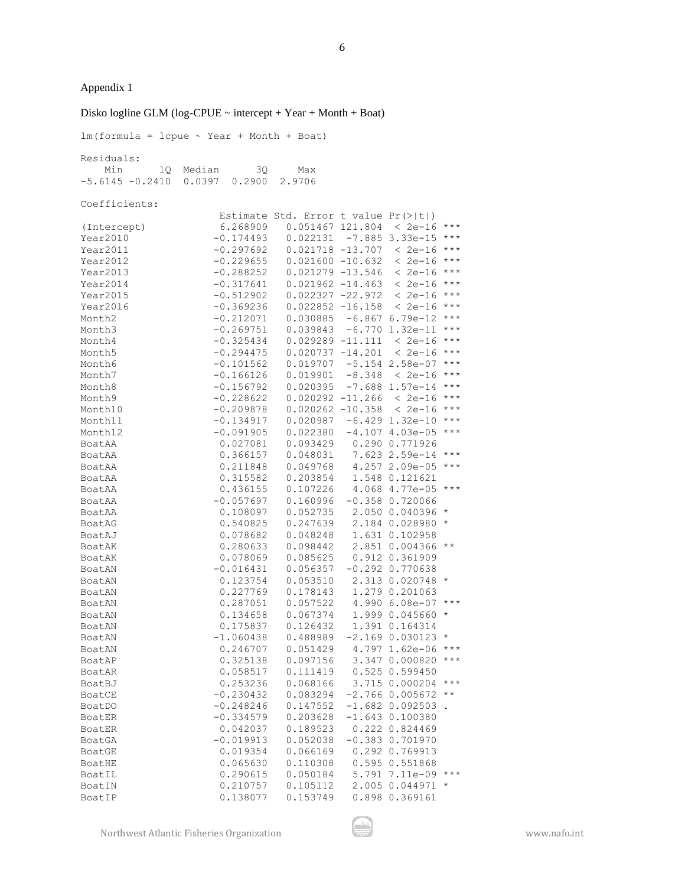Disko logline GLM (log-CPUE  $\sim$  intercept + Year + Month + Boat)

 $lm(formula = lcpue ~ Year + Month + Boat)$ Residuals: Min 1Q Median 3Q Max -5.6145 -0.2410 0.0397 0.2900 2.9706 Coefficients: Estimate Std. Error t value Pr(>|t|) (Intercept) 6.268909 0.051467 121.804 < 2e-16 \*\*\* Year2010 -0.174493 0.022131 -7.885 3.33e-15 \*\*\* Year2011 -0.297692 0.021718 -13.707 < 2e-16 \*\*\* Year2012 -0.229655 0.021600 -10.632 < 2e-16 \*\*\* Year2013 -0.288252 0.021279 -13.546 < 2e-16 \*\*\*<br>Year2014 -0.317641 0.021962 -14.463 < 2e-16 \*\*\* Year2014 -0.317641 0.021962 -14.463 < 2e-16 \*\*\* Year2015 -0.512902 0.022327 -22.972 < 2e-16 \*\*\*<br>Year2016 -0.369236 0.022852 -16.158 < 2e-16 \*\*\*  $-0.369236$  0.022852 -16.158 < 2e-16 \*\*\* Month2 -0.212071 0.030885 -6.867 6.79e-12 \*\*\* Month3 -0.269751 0.039843 -6.770 1.32e-11 \*\*\* Month4 -0.325434 0.029289 -11.111 < 2e-16 \*\*\* Month5 -0.294475 0.020737 -14.201 < 2e-16 \*\*\* Month6 -0.101562 0.019707 -5.154 2.58e-07 \*\*\* Month7 -0.166126 0.019901 -8.348 < 2e-16 \*\*\* Month8 -0.156792 0.020395 -7.688 1.57e-14 \*\*\* Month9 -0.228622 0.020292 -11.266 < 2e-16 \*\*\* Month10 -0.209878 0.020262 -10.358 < 2e-16 \*\*\* Month11 -0.134917 0.020987 -6.429 1.32e-10 \*\*\* Month12 -0.091905 0.022380 -4.107 4.03e-05 \*\*\* BoatAA 0.027081 0.093429 0.290 0.771926 BoatAA 0.366157 0.048031 7.623 2.59e-14 \*\*\* BoatAA 0.211848 0.049768 4.257 2.09e-05 \*\*\* BoatAA 0.315582 0.203854 1.548 0.121621 BoatAA 0.436155 0.107226 4.068 4.77e-05 \*\*\* BoatAA -0.057697 0.160996 -0.358 0.720066 BoatAA 0.108097 0.052735 2.050 0.040396 \* BoatAG 0.540825 0.247639 2.184 0.028980 \* BoatAJ 0.078682 0.048248 1.631 0.102958 BoatAK 0.280633 0.098442 2.851 0.004366 \*\* BoatAK 0.078069 0.085625 0.912 0.361909 BoatAN -0.016431 0.056357 -0.292 0.770638 BoatAN 0.123754 0.053510 2.313 0.020748 \* BoatAN 0.227769 0.178143 1.279 0.201063 BoatAN 0.287051 0.057522 4.990 6.08e-07 \*\*\* BoatAN 0.134658 0.067374 1.999 0.045660 \* BoatAN 0.175837 0.126432 1.391 0.164314 BoatAN -1.060438 0.488989 -2.169 0.030123 \* BoatAN 0.246707 0.051429 4.797 1.62e-06 \*\*\* BoatAP 0.325138 0.097156 3.347 0.000820 \*\*\* BoatAR 0.058517 0.111419 0.525 0.599450 BoatBJ 0.253236 0.068166 3.715 0.000204 \*\*\* BoatCE -0.230432 0.083294 -2.766 0.005672 \*\* BoatDO -0.248246 0.147552 -1.682 0.092503. BoatER -0.334579 0.203628 -1.643 0.100380 BoatER 0.042037 0.189523 0.222 0.824469 BoatGA -0.019913 0.052038 -0.383 0.701970 BoatGE 0.019354 0.066169 0.292 0.769913 BoatHE 0.065630 0.110308 0.595 0.551868<br>BoatIL 0.290615 0.050184 5.791 7.11e-09 BoatIL 0.290615 0.050184 5.791 7.11e-09 \*\*\* BoatIN 0.210757 0.105112 2.005 0.044971 \* BoatIP 0.138077 0.153749 0.898 0.369161

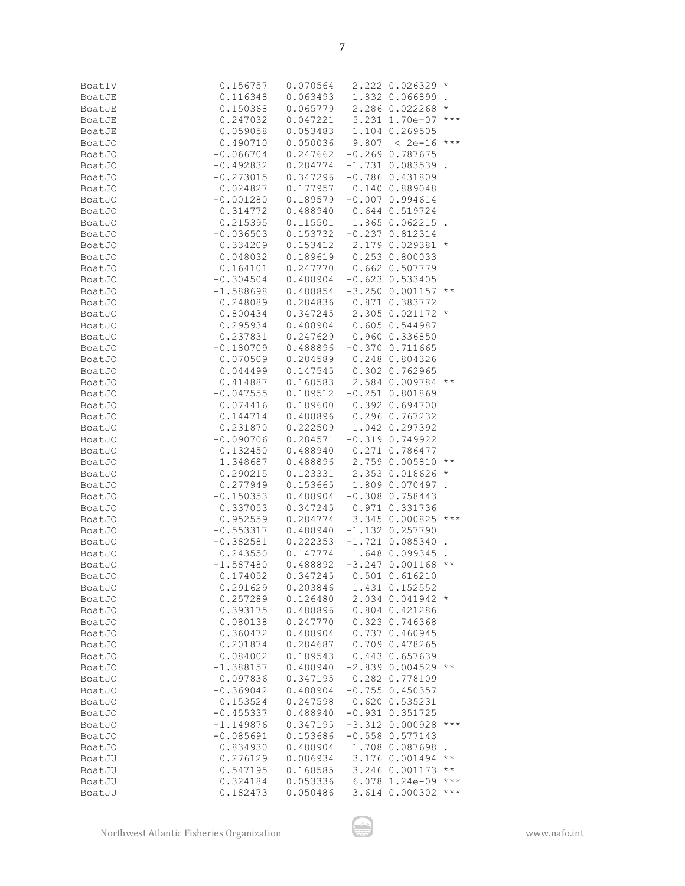| BoatIV        | 0.156757                                                                                                                                                        |                                         |                      |                   |
|---------------|-----------------------------------------------------------------------------------------------------------------------------------------------------------------|-----------------------------------------|----------------------|-------------------|
|               | 0.116348                                                                                                                                                        | $0.070564$ 2.222 0.026329 *<br>0.063493 | 1.832 0.066899.      |                   |
| BoatJE        |                                                                                                                                                                 | $0.065779$ 2.286 0.022268 *             |                      |                   |
| BoatJE        | 0.150368                                                                                                                                                        |                                         |                      |                   |
| BoatJE        | $0.247032$ $0.047221$ $5.231$ $1.70e-07$ ***                                                                                                                    |                                         |                      |                   |
| BoatJE        | $\begin{array}{cccc} 0.059058 & 0.053483 & 1.104 & 0.269505 \\ 0.490710 & 0.050036 & 9.807 & < 2e-16 \end{array} \star \star \star$                             |                                         |                      |                   |
| BoatJO        |                                                                                                                                                                 |                                         |                      |                   |
| BoatJO        | $-0.066704$                                                                                                                                                     | 0.247662                                | $-0.269$ 0.787675    |                   |
| BoatJO        |                                                                                                                                                                 |                                         |                      |                   |
| BoatJO        | $-0.492832$ $0.284774$ $-1.731$ $0.083539$ .<br>$-0.273015$ $0.347296$ $-0.786$ $0.431809$                                                                      |                                         |                      |                   |
| <b>BoatJO</b> | 0.024827  0.177957  0.140  0.889048                                                                                                                             |                                         |                      |                   |
| BoatJO        | $-0.001280$ 0.189579                                                                                                                                            |                                         | $-0.007$ 0.994614    |                   |
| BoatJO        | 0.314772                                                                                                                                                        | 0.488940  0.644  0.519724               |                      |                   |
| BoatJO        | $0.215395$ $0.115501$ $1.865$ $0.062215$ .                                                                                                                      |                                         |                      |                   |
| BoatJO        | $-0.036503$ $0.153732$ $-0.237$ $0.812314$                                                                                                                      |                                         |                      |                   |
| BoatJO        |                                                                                                                                                                 |                                         |                      |                   |
| BoatJO        | $\begin{array}{cccc} 0.334209 & 0.153412 & 2.179 & 0.029381 \ * \\ 0.048032 & 0.189619 & 0.253 & 0.800033 \end{array}$                                          |                                         |                      |                   |
| <b>BoatJO</b> | 0.164101  0.247770  0.662  0.507779                                                                                                                             |                                         |                      |                   |
| BoatJO        |                                                                                                                                                                 |                                         |                      |                   |
| <b>BoatJO</b> | -0.304504     0.488904   −0.623  0.533405<br>-1.588698     0.488854   −3.250  0.001157  **                                                                      |                                         |                      |                   |
| BoatJO        | 0.248089  0.284836  0.871  0.383772                                                                                                                             |                                         |                      |                   |
| BoatJO        |                                                                                                                                                                 |                                         |                      |                   |
| <b>BoatJO</b> | $\begin{array}{cccc} 0.800434 & 0.347245 & 2.305\ 0.021172 \ * \\ 0.295934 & 0.488904 & 0.605\ 0.544987 \\ 0.237831 & 0.247629 & 0.960\ 0.336850 \end{array}$   |                                         |                      |                   |
|               |                                                                                                                                                                 |                                         |                      |                   |
| BoatJO        |                                                                                                                                                                 |                                         |                      |                   |
| <b>BoatJO</b> | $-0.180709$ 0.488896 $-0.370$ 0.711665                                                                                                                          |                                         |                      |                   |
| BoatJO        | 0.070509  0.284589  0.248  0.804326<br>0.044499  0.147545  0.302  0.762965                                                                                      |                                         |                      |                   |
| <b>BoatJO</b> |                                                                                                                                                                 |                                         |                      |                   |
| BoatJO        | $0.414887$ $0.160583$ 2.584 0.009784 **                                                                                                                         |                                         |                      |                   |
| BoatJO        | 0.047555   0.189512   -0.251   0.801869<br>0.074416   0.189600   0.392   0.694700                                                                               |                                         |                      |                   |
| BoatJO        |                                                                                                                                                                 |                                         |                      |                   |
| BoatJO        | 0.144714  0.488896  0.296  0.767232                                                                                                                             |                                         |                      |                   |
| BoatJ0        | $0.231870$ $0.222509$ $1.042$ $0.297392$                                                                                                                        |                                         |                      |                   |
| BoatJO        | $-0.090706$ 0.284571 $-0.319$ 0.749922                                                                                                                          |                                         |                      |                   |
| BoatJO        | 0.132450                                                                                                                                                        | 0.488940  0.271  0.786477               |                      |                   |
| BoatJO        | 1.348687                                                                                                                                                        | $0.488896$ 2.759 0.005810 **            |                      |                   |
| BoatJO        | $0.290215$ $0.123331$ $2.353$ $0.018626$ *<br>$0.277949$ $0.153665$ $1.809$ $0.070497$ .                                                                        |                                         |                      |                   |
| BoatJO        |                                                                                                                                                                 |                                         |                      |                   |
| BoatJO        | $-0.150353$                                                                                                                                                     | 0.488904                                | $-0.308$ 0.758443    |                   |
| BoatJO        | $0.337053$ $0.347245$ $0.971$ $0.331736$<br>$0.952559$ $0.284774$ $3.345$ $0.000825$ ***                                                                        |                                         |                      |                   |
| <b>BoatJO</b> |                                                                                                                                                                 |                                         |                      |                   |
| BoatJO        | $-0.553317$ 0.488940 -1.132 0.257790                                                                                                                            |                                         |                      |                   |
| BoatJO        |                                                                                                                                                                 |                                         |                      |                   |
| <b>BoatJO</b> | $\begin{array}{cccc} -0.382581 & 0.222353 & -1.721 & 0.085340\\ 0.243550 & 0.147774 & 1.648 & 0.099345\\ -1.587480 & 0.488892 & -3.247 & 0.001168 \end{array}.$ |                                         |                      |                   |
| <b>BoatJO</b> |                                                                                                                                                                 |                                         | $-3.2470.001168**$   |                   |
| <b>BoatJO</b> | 0.174052                                                                                                                                                        | 0.347245                                | $0.501$ $0.616210$   |                   |
| <b>BoatJO</b> | 0.291629                                                                                                                                                        | 0.203846                                | 1.431 0.152552       |                   |
| <b>BoatJO</b> | 0.257289                                                                                                                                                        | 0.126480                                | 2.034 0.041942 *     |                   |
| <b>BoatJO</b> | 0.393175                                                                                                                                                        | 0.488896                                | 0.804 0.421286       |                   |
| <b>BoatJO</b> | 0.080138                                                                                                                                                        | 0.247770                                | 0.323 0.746368       |                   |
| <b>BoatJO</b> | 0.360472                                                                                                                                                        | 0.488904                                | 0.737 0.460945       |                   |
| <b>BoatJO</b> | 0.201874                                                                                                                                                        | 0.284687                                | 0.709 0.478265       |                   |
| <b>BoatJO</b> | 0.084002                                                                                                                                                        | 0.189543                                | 0.443 0.657639       |                   |
| <b>BoatJO</b> | $-1.388157$                                                                                                                                                     | 0.488940                                | $-2.839$ 0.004529 ** |                   |
| <b>BoatJO</b> | 0.097836                                                                                                                                                        | 0.347195                                | 0.282 0.778109       |                   |
| <b>BoatJO</b> | $-0.369042$                                                                                                                                                     | 0.488904                                | $-0.755$ 0.450357    |                   |
| <b>BoatJO</b> | 0.153524                                                                                                                                                        | 0.247598                                | 0.620 0.535231       |                   |
| <b>BoatJO</b> | $-0.455337$                                                                                                                                                     | 0.488940                                | $-0.931$ $0.351725$  |                   |
|               |                                                                                                                                                                 |                                         | $-3.312$ 0.000928    | $***$             |
| <b>BoatJO</b> | $-1.149876$                                                                                                                                                     | 0.347195                                |                      |                   |
| <b>BoatJO</b> | $-0.085691$                                                                                                                                                     | 0.153686                                | $-0.558$ 0.577143    |                   |
| <b>BoatJO</b> | 0.834930                                                                                                                                                        | 0.488904                                | 1.708 0.087698       | $\star\star$      |
| BoatJU        | 0.276129                                                                                                                                                        | 0.086934                                | 3.176 0.001494       | $\star\star$      |
| BoatJU        | 0.547195                                                                                                                                                        | 0.168585                                | 3.246 0.001173       | $\star\star\star$ |
| BoatJU        | 0.324184                                                                                                                                                        | 0.053336                                | 6.078 1.24e-09       |                   |
| BoatJU        | 0.182473                                                                                                                                                        | 0.050486                                | 3.614 0.000302       | $***$             |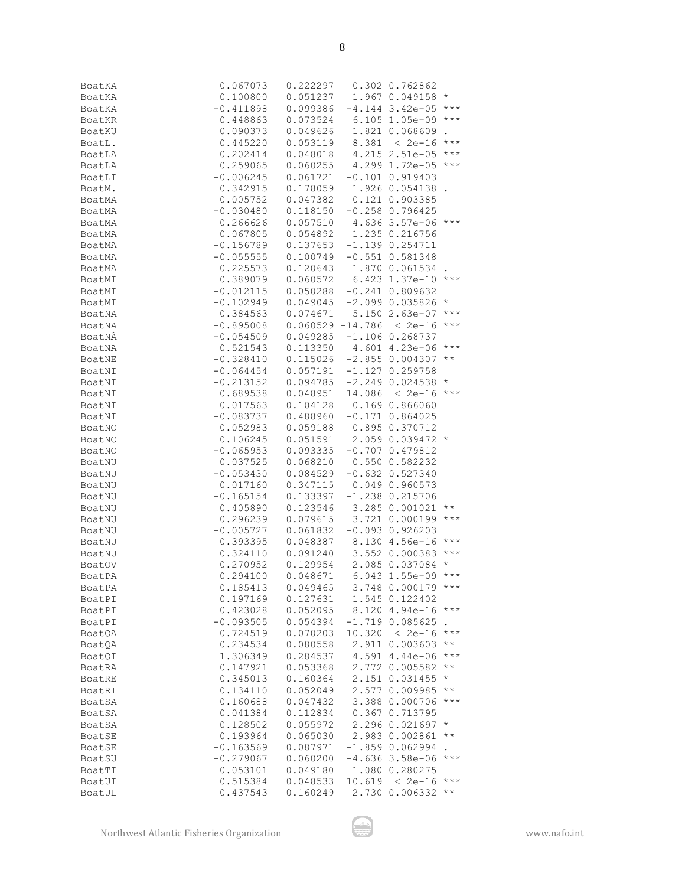| BoatKA           | 0.067073                                                                                                                                                                             | $\begin{array}{cccc} 0.222297 & 0.302 & 0.762862 \\ 0.051237 & 1.967 & 0.049158 \end{array} \star$         |        |                      |                   |
|------------------|--------------------------------------------------------------------------------------------------------------------------------------------------------------------------------------|------------------------------------------------------------------------------------------------------------|--------|----------------------|-------------------|
| BoatKA           | 0.100800                                                                                                                                                                             |                                                                                                            |        |                      |                   |
| BoatKA           | $-0.411898$                                                                                                                                                                          | $0.099386 - 4.144$ 3.42e-05 ***                                                                            |        |                      |                   |
| BoatKR           | 0.448863                                                                                                                                                                             | $0.073524$ 6.105 1.05e-09 ***                                                                              |        |                      |                   |
| BoatKU           | 0.090373                                                                                                                                                                             | $\begin{array}{cccc} 0.049626 & 1.821 & 0.068609\\ 0.053119 & 8.381 & < 2e-16 \end{array}.$                |        |                      |                   |
| BoatL.           | 0.445220                                                                                                                                                                             |                                                                                                            |        |                      |                   |
| BoatLA           | 0.202414                                                                                                                                                                             | $0.048018$ 4.215 2.51e-05 ***                                                                              |        |                      |                   |
| BoatLA           |                                                                                                                                                                                      | $0.060255$ 4.299 1.72e-05 ***                                                                              |        |                      |                   |
| BoatLI           | $0.259065$<br>-0.006245                                                                                                                                                              | $0.061721 - 0.101 0.919403$                                                                                |        |                      |                   |
| BoatM.           | 0.342915                                                                                                                                                                             | $0.178059$ 1.926 0.054138.                                                                                 |        |                      |                   |
| BoatMA           |                                                                                                                                                                                      | $0.047382$ $0.121$ $0.903385$                                                                              |        |                      |                   |
| BoatMA           | $0.005752$<br>-0.030480                                                                                                                                                              | $0.118150 - 0.258 0.796425$                                                                                |        |                      |                   |
| BoatMA           | 0.266626                                                                                                                                                                             | $0.057510$ 4.636 3.57e-06 ***                                                                              |        |                      |                   |
| BoatMA           | 0.067805                                                                                                                                                                             | $0.054892$ 1.235 0.216756                                                                                  |        |                      |                   |
| BoatMA           | $-0.156789$                                                                                                                                                                          | $0.137653 -1.139 0.254711$                                                                                 |        |                      |                   |
| BoatMA           | $-0.055555$                                                                                                                                                                          | $0.100749 - 0.551 0.581348$                                                                                |        |                      |                   |
| BoatMA           | 0.225573                                                                                                                                                                             | $0.120643$ 1.870 0.061534.                                                                                 |        |                      |                   |
| BoatMI           |                                                                                                                                                                                      | $0.060572$ 6.423 1.37e-10 ***                                                                              |        |                      |                   |
| BoatMI           | $0.389079$<br>-0.012115                                                                                                                                                              | $0.050288 - 0.241 0.809632$                                                                                |        |                      |                   |
| BoatMI           | $-0.102949$                                                                                                                                                                          | $0.049045 -2.099 0.035826$ *                                                                               |        |                      |                   |
| BoatNA           |                                                                                                                                                                                      | $0.074671$ 5.150 2.63e-07 ***                                                                              |        |                      |                   |
| BoatNA           | $\begin{array}{cccc} 0.384563 & 0.074671 & 5.150 & 2.63e-07 & {***} \\ -0.895008 & 0.060529 & -14.786 & < 2e-16 & {***} \end{array}$                                                 |                                                                                                            |        |                      |                   |
| BoatNÂ           | $-0.054509$                                                                                                                                                                          | $0.049285 -1.106 0.268737$                                                                                 |        |                      |                   |
| BoatNA           |                                                                                                                                                                                      | $0.113350$ 4.601 4.23e-06 ***                                                                              |        |                      |                   |
| BoatNE           | $\begin{array}{cccc} 0.521543 & 0.113350 & 4.601 & 4.23e-06 & * \star \\ -0.328410 & 0.115026 & -2.855 & 0.004307 & * \star \\ -0.064454 & 0.057191 & -1.127 & 0.259758 \end{array}$ |                                                                                                            |        |                      |                   |
| BoatNI           |                                                                                                                                                                                      |                                                                                                            |        |                      |                   |
| BoatNI           | $-0.213152$                                                                                                                                                                          | $0.094785 -2.249 0.024538 *$                                                                               |        |                      |                   |
| BoatNI           |                                                                                                                                                                                      |                                                                                                            |        | $14.086 < 2e-16$ *** |                   |
| BoatNI           | $0.689538$ $0.048951$ $14.086 < 2e-16$<br>$0.017563$ $0.104128$ $0.169$ $0.866060$                                                                                                   |                                                                                                            |        |                      |                   |
| BoatNI           | $-0.083737$                                                                                                                                                                          | $0.488960 -0.171 0.864025$                                                                                 |        |                      |                   |
| BoatNO           |                                                                                                                                                                                      |                                                                                                            |        |                      |                   |
| BoatNO           | $0.052983$<br>0.106245                                                                                                                                                               | $\begin{array}{cccc} 0.059188 & 0.895 & 0.370712 \\ 0.051591 & 2.059 & 0.039472 \end{array} \star$         |        |                      |                   |
| BoatNO           | $-0.065953$                                                                                                                                                                          | $0.093335 -0.707 0.479812$                                                                                 |        |                      |                   |
| BoatNU           | 0.037525                                                                                                                                                                             | $0.068210$ $0.550$ $0.582232$                                                                              |        |                      |                   |
| BoatNU           | $-0.053430$                                                                                                                                                                          | 0.084529                                                                                                   |        | $-0.632$ $0.527340$  |                   |
|                  | 0.017160                                                                                                                                                                             | 0.347115  0.049  0.960573                                                                                  |        |                      |                   |
| BoatNU           | $-0.165154$                                                                                                                                                                          | 0.133397                                                                                                   |        | $-1.238$ 0.215706    |                   |
| BoatNU<br>BoatNU |                                                                                                                                                                                      |                                                                                                            |        |                      |                   |
|                  | $0.405890$<br>$0.996239$<br>0.296239                                                                                                                                                 | $\begin{array}{cccc} 0.123546 & 3.285 & 0.001021 & ** \\ 0.079615 & 3.721 & 0.000199 & ** \end{array}$     |        |                      |                   |
| BoatNU           |                                                                                                                                                                                      |                                                                                                            |        |                      |                   |
| BoatNU           | $-0.005727$                                                                                                                                                                          | $0.061832 -0.093 0.926203$                                                                                 |        |                      |                   |
| BoatNU           | 0.393395<br>0.324110                                                                                                                                                                 | $\begin{array}{cccc} 0.048387 & 8.130 & 4.56e-16 & {**} \\ 0.091240 & 3.552 & 0.000383 & {**} \end{array}$ |        |                      |                   |
| BoatNU           |                                                                                                                                                                                      | $0.129954$ 2.085 0.037084 *                                                                                |        |                      |                   |
| BoatOV           | 0.270952                                                                                                                                                                             |                                                                                                            |        |                      |                   |
| BoatPA           | 0.294100                                                                                                                                                                             | 0.048671                                                                                                   |        | 6.043 1.55e-09 ***   |                   |
| BoatPA           | 0.185413                                                                                                                                                                             | 0.049465                                                                                                   |        | 3.748 0.000179 ***   |                   |
| BoatPI           | 0.197169                                                                                                                                                                             | 0.127631                                                                                                   |        | 1.545 0.122402       |                   |
| BoatPI           | 0.423028                                                                                                                                                                             | 0.052095                                                                                                   | 8.120  | $4.94e - 16$         | $\star\star\star$ |
| BoatPI           | $-0.093505$                                                                                                                                                                          | 0.054394                                                                                                   |        | $-1.719$ 0.085625    |                   |
| BoatQA           | 0.724519                                                                                                                                                                             | 0.070203                                                                                                   | 10.320 | $< 2e-16$            | $***$             |
| <b>BoatQA</b>    | 0.234534                                                                                                                                                                             | 0.080558                                                                                                   |        | 2.911 0.003603       | $\star\star$      |
| BoatQI           | 1.306349                                                                                                                                                                             | 0.284537                                                                                                   |        | 4.591 4.44e-06       | $\star\star\star$ |
| BoatRA           | 0.147921                                                                                                                                                                             | 0.053368                                                                                                   |        | 2.772 0.005582       | $\star\star$      |
| BoatRE           | 0.345013                                                                                                                                                                             | 0.160364                                                                                                   |        | 2.151 0.031455       | $^{\star}$        |
| BoatRI           | 0.134110                                                                                                                                                                             | 0.052049                                                                                                   |        | 2.577 0.009985       | $\star\star$      |
| BoatSA           | 0.160688                                                                                                                                                                             | 0.047432                                                                                                   |        | 3.388 0.000706       | $***$             |
| BoatSA           | 0.041384                                                                                                                                                                             | 0.112834                                                                                                   | 0.367  | 0.713795             |                   |
| BoatSA           | 0.128502                                                                                                                                                                             | 0.055972                                                                                                   | 2.296  | 0.021697             | $^{\star}$        |
| <b>BoatSE</b>    | 0.193964                                                                                                                                                                             | 0.065030                                                                                                   | 2.983  | 0.002861             | $\star\star$      |
| BoatSE           | $-0.163569$                                                                                                                                                                          | 0.087971                                                                                                   |        | $-1.859$ 0.062994    |                   |
| BoatSU           | $-0.279067$                                                                                                                                                                          | 0.060200                                                                                                   |        | $-4.636$ 3.58e-06    | $***$             |
| BoatTI           | 0.053101                                                                                                                                                                             | 0.049180                                                                                                   |        | 1.080 0.280275       |                   |
| BoatUI           | 0.515384                                                                                                                                                                             | 0.048533                                                                                                   | 10.619 | < 2e-16              | $***$             |
| BoatUL           | 0.437543                                                                                                                                                                             | 0.160249                                                                                                   |        | 2.730 0.006332       | $\star$ $\star$   |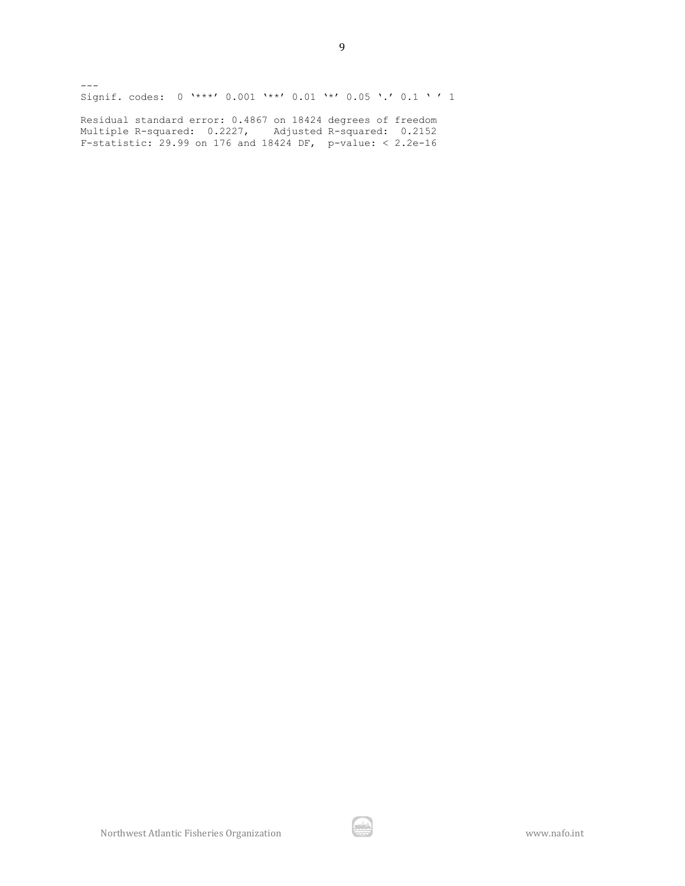$---$ Signif. codes: 0 '\*\*\*' 0.001 '\*\*' 0.01 '\*' 0.05 '.' 0.1 ' ' 1

9

Residual standard error: 0.4867 on 18424 degrees of freedom Multiple R-squared: 0.2227, Adjusted R-squared: 0.2152 F-statistic: 29.99 on 176 and 18424 DF, p-value: < 2.2e-16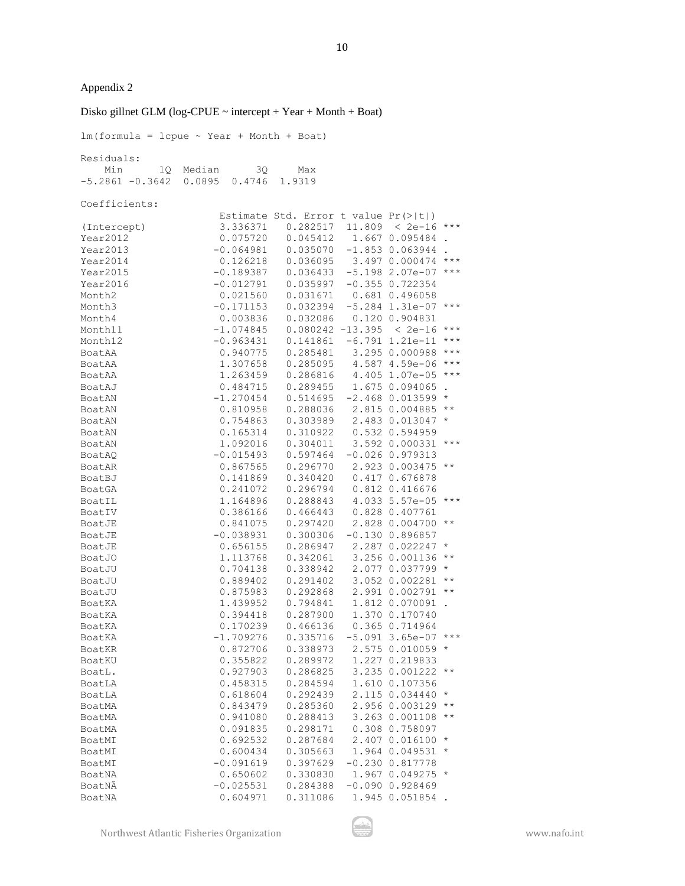Disko gillnet GLM (log-CPUE  $\sim$  intercept + Year + Month + Boat)  $lm(formula = lcpue ~ Year + Month + Boat)$ Residuals: Min 1Q Median 3Q Max -5.2861 -0.3642 0.0895 0.4746 1.9319 Coefficients: Estimate Std. Error t value Pr(>|t|) (Intercept) 3.336371 0.282517 11.809 < 2e-16 \*\*\* Year2012 0.075720 0.045412 1.667 0.095484 . Year2013 -0.064981 0.035070 -1.853 0.063944 .<br>Year2014 0.126218 0.036095 3.497 0.000474 \*\*\* Year2014 0.126218 0.036095 Year2015 -0.189387 0.036433 -5.198 2.07e-07 \*\*\* Year2016 -0.012791 0.035997 -0.355 0.722354 Month2 0.021560 0.031671 0.681 0.496058 Month3 -0.171153 0.032394 -5.284 1.31e-07 \*\*\* Month4 0.003836 0.032086 0.120 0.904831 Month11 -1.074845 0.080242 -13.395 < 2e-16 \*\*\* Month12  $-0.963431$   $0.141861$   $-6.791$  1.21e-11 \*\*\* BoatAA 0.940775 0.285481 3.295 0.000988 \*\*\* BoatAA 1.307658 0.285095 4.587 4.59e-06 \*\*\* BoatAA 1.263459 0.286816 4.405 1.07e-05 \*\*\* BoatAJ 0.484715 0.289455 1.675 0.094065 . BoatAN -1.270454 0.514695 -2.468 0.013599 \* BoatAN 0.810958 0.288036 2.815 0.004885 \*\* BoatAN 0.754863 0.303989 2.483 0.013047 \* BoatAN 0.165314 0.310922 0.532 0.594959 BoatAN 1.092016 0.304011 3.592 0.000331 \*\*\* BoatAQ -0.015493 0.597464 -0.026 0.979313 BoatAR  $0.867565$   $0.296770$   $2.923$   $0.003475$  \*\*<br>BoatBJ  $0.141869$   $0.340420$   $0.417$   $0.676878$ BoatBJ 0.141869 0.340420 0.417 0.676878<br>BoatGA 0.241072 0.296794 0.812 0.416676 BoatGA 0.241072 0.296794 BoatIL 1.164896 0.288843 4.033 5.57e-05 \*\*\* BoatIV 0.386166 0.466443 0.828 0.407761 BoatJE 0.841075 0.297420 2.828 0.004700 \*\* BoatJE -0.038931 0.300306 -0.130 0.896857 BoatJE 0.656155 0.286947 2.287 0.022247 \* BoatJO 1.113768 0.342061 3.256 0.001136 \*\* BoatJU 0.704138 0.338942 2.077 0.037799 \* BoatJU 0.889402 0.291402 3.052 0.002281 \*\* BoatJU 0.875983 0.292868 2.991 0.002791 \*\* BoatKA 1.439952 0.794841 1.812 0.070091 .<br>BoatKA 0.394418 0.287900 1.370 0.170740 BoatKA 0.394418 0.287900 BoatKA 0.170239 0.466136 0.365 0.714964 BoatKA -1.709276 0.335716 -5.091 3.65e-07 \*\*\* BoatKR 0.872706 0.338973 2.575 0.010059 \* BoatKU 0.355822 0.289972 1.227 0.219833 BoatL. 0.927903 0.286825 3.235 0.001222 \*\* BoatLA 0.458315 0.284594 1.610 0.107356 BoatLA 0.618604 0.292439 2.115 0.034440 \* BoatMA 0.843479 0.285360 2.956 0.003129 \*\* BoatMA 0.941080 0.288413 3.263 0.001108 \*\* BoatMA 0.091835 0.298171 0.308 0.758097 BoatMI 0.692532 0.287684 2.407 0.016100 \* BoatMI 0.600434 0.305663 1.964 0.049531 \* BoatMI -0.091619 0.397629 -0.230 0.817778 BoatNA 0.650602 0.330830 1.967 0.049275 \* BoatNÂ -0.025531 0.284388 -0.090 0.928469 BoatNA 0.604971 0.311086 1.945 0.051854 .

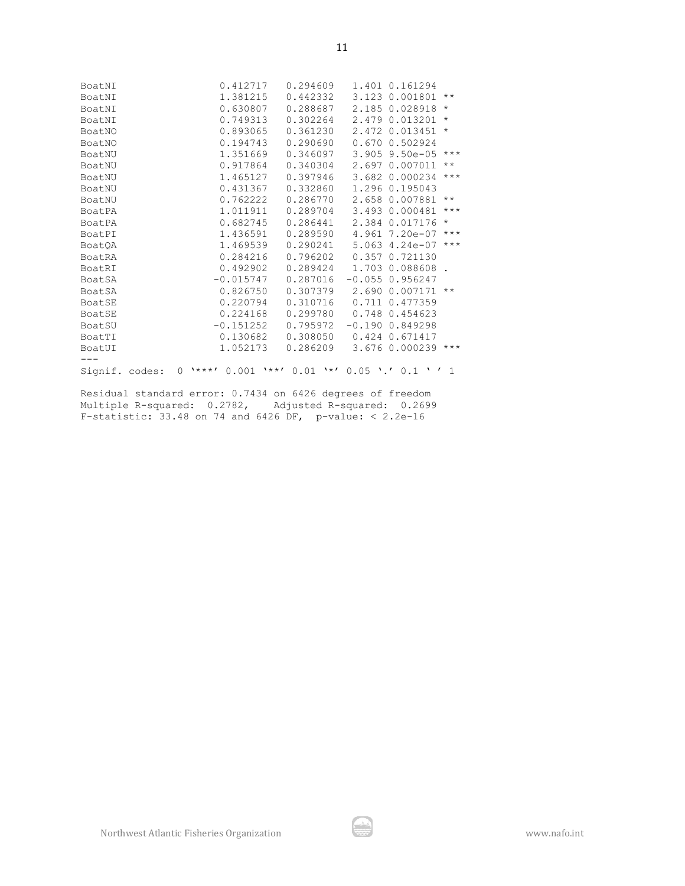| BoatNI         | 0.412717                                                   |          |          | 0.294609 1.401 0.161294 |                   |
|----------------|------------------------------------------------------------|----------|----------|-------------------------|-------------------|
| BoatNI         | 1.381215                                                   |          | 0.442332 | 3.123 0.001801          | $\star\star$      |
| BoatNI         | 0.630807                                                   |          |          | 0.288687 2.185 0.028918 | $\star$           |
| BoatNI         | 0.749313                                                   | 0.302264 |          | 2.479 0.013201          | $\star$           |
| BoatNO         | 0.893065                                                   | 0.361230 |          | 2.472 0.013451          | $\star$           |
| BoatNO         | 0.194743                                                   | 0.290690 |          | 0.670 0.502924          |                   |
| BoatNU         | 1.351669                                                   | 0.346097 |          | $3.905$ 9.50e-05        | $***$             |
| BoatNU         | 0.917864                                                   | 0.340304 |          | 2.697 0.007011          | $\star$ $\star$   |
| BoatNU         | 1.465127                                                   | 0.397946 |          | 3.682 0.000234          | $***$             |
| BoatNU         | 0.431367                                                   | 0.332860 |          | 1,296 0,195043          |                   |
| BoatNU         | 0.762222                                                   | 0.286770 |          | 2.658 0.007881          | $\star$ $\star$   |
| BoatPA         | 1.011911                                                   |          |          | 0.289704 3.493 0.000481 | $\star\star\star$ |
| BoatPA         | 0.682745                                                   | 0.286441 |          | 2.384 0.017176          | $\star$           |
| BoatPI         | 1.436591                                                   | 0.289590 |          | 4.961 7.20e-07          | $***$             |
| <b>BoatOA</b>  | 1.469539                                                   | 0.290241 |          | 5.063 4.24e-07          | $***$             |
| BoatRA         | 0.284216                                                   | 0.796202 | 0.357    | 0.721130                |                   |
| BoatRI         | 0.492902                                                   | 0.289424 |          | 1.703 0.088608          |                   |
| BoatSA         | $-0.015747$                                                | 0.287016 |          | $-0.055$ 0.956247       |                   |
| BoatSA         | 0.826750                                                   | 0.307379 |          | 2.690 0.007171 **       |                   |
| BoatSE         | 0.220794                                                   | 0.310716 |          | 0.711 0.477359          |                   |
| BoatSE         | 0.224168                                                   | 0.299780 |          | 0.748 0.454623          |                   |
| BoatSU         | $-0.151252$                                                | 0.795972 |          | $-0.19000.849298$       |                   |
| BoatTI         | 0.130682                                                   | 0.308050 |          | 0.424 0.671417          |                   |
| BoatUI         | 1.052173                                                   | 0.286209 |          | 3.676 0.000239 ***      |                   |
|                |                                                            |          |          |                         |                   |
| Signif. codes: | $0 \rightarrow***$ ' 0.001 '**' 0.01 '*' 0.05 '.' 0.1 '' 1 |          |          |                         |                   |

Residual standard error: 0.7434 on 6426 degrees of freedom Multiple R-squared: 0.2782, Adjusted R-squared: 0.2699 F-statistic: 33.48 on 74 and 6426 DF, p-value: < 2.2e-16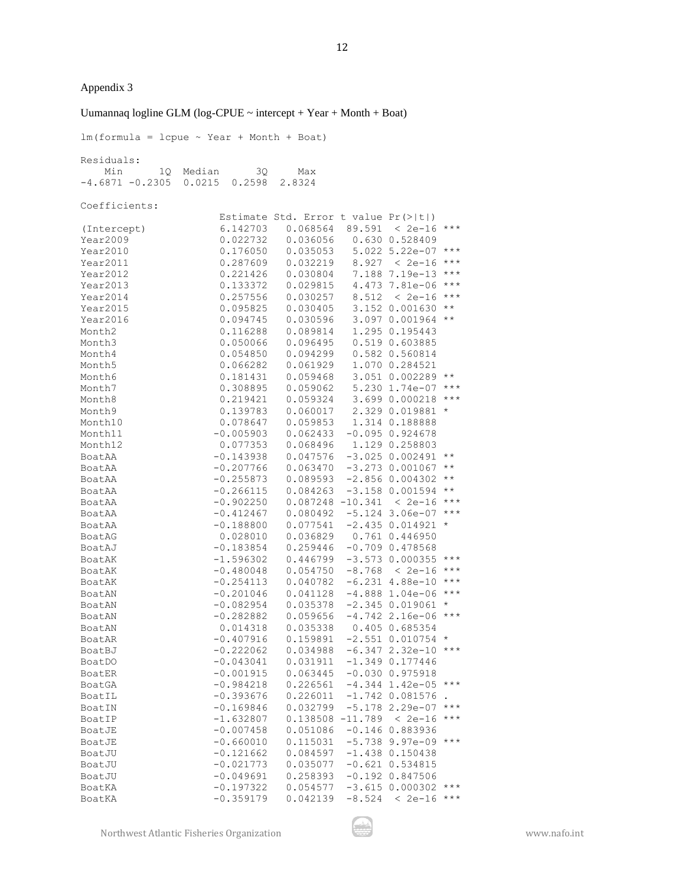### Uumannaq logline GLM (log-CPUE  $\sim$  intercept + Year + Month + Boat)

12

 $lm(formula = lcpue ~ Year + Month + Boat)$ Residuals: Min 1Q Median 3Q Max -4.6871 -0.2305 0.0215 0.2598 2.8324 Coefficients: Estimate Std. Error t value Pr(>|t|) (Intercept) 6.142703 0.068564 89.591 < 2e-16 \*\*\* Year2009 0.022732 0.036056 0.630 0.528409 Year2010 0.176050 0.035053 5.022 5.22e-07 \*\*\* Year2011 0.287609 0.032219 8.927 < 2e-16 \*\*\* Year2012 0.221426 0.030804 7.188 7.19e-13 \*\*\* Year2013 0.133372 0.029815 4.473 7.81e-06 \*\*\*<br>Year2014 0.257556 0.030257 8.512 < 2e-16 \*\*\* Year2014 0.257556 0.030257 Year2015 0.095825 0.030405 3.152 0.001630 \*\* Year2016 0.094745 0.030596<br>Month2 0.116288 0.089814 Month2 0.116288 0.089814 1.295 0.195443 Month3 0.050066 0.096495 0.519 0.603885 Month4 0.054850 0.094299 0.582 0.560814 Month5 0.066282 0.061929 1.070 0.284521 Month6 0.181431 0.059468 3.051 0.002289 \*\* Month7 0.308895 0.059062 5.230 1.74e-07 \*\*\* Month8 0.219421 0.059324 3.699 0.000218 \*\*\* Month9 0.139783 0.060017 2.329 0.019881 \* Month10 0.078647 0.059853 1.314 0.188888 Month11 -0.005903 0.062433 -0.095 0.924678 Month12 0.077353 0.068496 1.129 0.258803 BoatAA -0.143938 0.047576 -3.025 0.002491 \*\* BoatAA -0.207766 0.063470 -3.273 0.001067 \*\* BoatAA -0.255873 0.089593 -2.856 0.004302 \*\*<br>BoatAA -0.266115 0.084263 -3.158 0.001594 \*\* BoatAA -0.266115 0.084263 -3.158 0.001594 \*\* BoatAA -0.902250 0.087248 -10.341 < 2e-16 \*\*\* BoatAA -0.412467 0.080492 -5.124 3.06e-07 \*\*\* BoatAA  $-0.188800$   $0.077541$   $-2.435$   $0.014921$  \* BoatAG 0.028010 0.036829 0.761 0.446950 BoatAJ -0.183854 0.259446 -0.709 0.478568 BoatAK -1.596302 0.446799 -3.573 0.000355 \*\*\* BoatAK -0.480048 0.054750 -8.768 < 2e-16 \*\*\* BoatAK -0.254113 0.040782 -6.231 4.88e-10 \*\*\* BoatAN -0.201046 0.041128 -4.888 1.04e-06 \*\*\* BoatAN -0.082954 0.035378 -2.345 0.019061 \* BoatAN -0.282882 0.059656 -4.742 2.16e-06 \*\*\* BoatAN 0.014318 0.035338 0.405 0.685354 BoatAR -0.407916 0.159891 -2.551 0.010754 \* BoatBJ -0.222062 0.034988 -6.347 2.32e-10 \*\*\* BoatDO -0.043041 0.031911 -1.349 0.177446 BoatER -0.001915 0.063445 -0.030 0.975918 BoatGA -0.984218 0.226561 -4.344 1.42e-05 \*\*\* BoatIL -0.393676 0.226011 -1.742 0.081576 BoatIN -0.169846 0.032799 -5.178 2.29e-07 \*\*\* BoatIP -1.632807 0.138508 -11.789 < 2e-16 \*\*\* BoatJE -0.007458 0.051086 -0.146 0.883936 BoatJE -0.660010 0.115031 -5.738 9.97e-09 \*\*\* BoatJU -0.121662 0.084597 -1.438 0.150438 BoatJU -0.021773 0.035077 -0.621 0.534815 BoatJU -0.049691 0.258393 -0.192 0.847506<br>BoatKA -0.197322 0.054577 -3.615 0.000302 \*\*\* BoatKA -0.197322 0.054577 BoatKA -0.359179 0.042139 -8.524 < 2e-16 \*\*\*

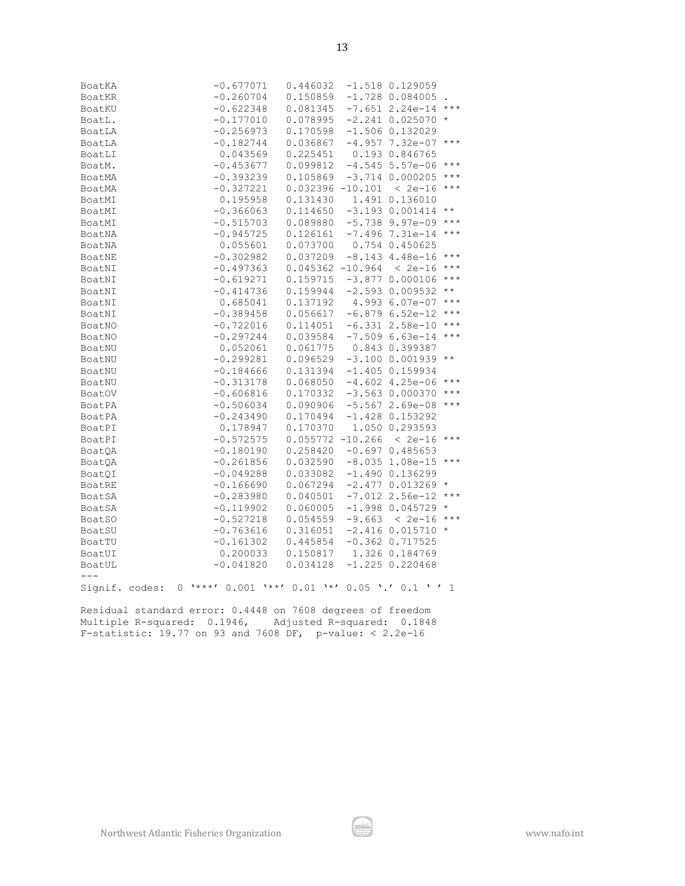| Northwest Atlantic Fisheries Organization |  |  |
|-------------------------------------------|--|--|
|                                           |  |  |

| BoatKA         | $-0.677071$                                                 | 0.446032                    | $-1.518$ 0.129059               |                     |
|----------------|-------------------------------------------------------------|-----------------------------|---------------------------------|---------------------|
| BoatKR         | $-0.260704$                                                 | 0.150859                    | $-1.728$ 0.084005               |                     |
| BoatKU         | $-0.622348$                                                 | 0.081345                    | $-7.651$ 2.24e-14 ***           |                     |
| BoatL.         | $-0.177010$                                                 | 0.078995                    | $-2.241$ 0.025070 *             |                     |
| BoatLA         | $-0.256973$                                                 | 0.170598                    | $-1.506$ 0.132029               |                     |
| BoatLA         | $-0.182744$                                                 | 0.036867                    | $-4.957$ 7.32e-07 ***           |                     |
| BoatLI         | 0.043569                                                    | 0.225451                    | 0.193 0.846765                  |                     |
| BoatM.         | $-0.453677$                                                 | 0.099812                    | $-4.545$ 5.57e-06               | $***$               |
| BoatMA         | $-0.393239$                                                 | 0.105869                    | $-3.714$ 0.000205               | $\star \star \star$ |
| BoatMA         | $-0.327221$                                                 | $0.032396 - 10.101 < 2e-16$ |                                 | $\star\star\star$   |
| BoatMI         | 0.195958                                                    | 0.131430  1.491  0.136010   |                                 |                     |
| BoatMI         | $-0.366063$                                                 | 0.114650                    | $-3.193$ 0.001414               | $\star\star$        |
| BoatMI         | $-0.515703$                                                 |                             | $0.089880 - 5.7389.97e-09$ ***  |                     |
| BoatNA         | $-0.945725$                                                 |                             | $0.126161 - 7.496 7.31e-14$ *** |                     |
| BoatNA         | 0.055601                                                    | 0.073700                    | 0.754 0.450625                  |                     |
| BoatNE         | $-0.302982$                                                 | 0.037209                    | $-8.143$ $4.48e-16$             | $***$               |
| BoatNI         | $-0.497363$                                                 | $0.045362 - 10.964 < 2e-16$ |                                 | $\star\star\star$   |
| BoatNI         | $-0.619271$                                                 | $0.159715 - 3.877 0.000106$ |                                 | $\star\star\star$   |
| BoatNI         | $-0.414736$                                                 | $0.159944 -2.593 0.009532$  |                                 | $\star\star$        |
| BoatNI         | 0.685041                                                    | 0.137192                    | 4.993 6.07e-07 ***              |                     |
| BoatNI         | $-0.389458$                                                 | 0.056617                    | $-6.879$ 6.52e-12               | $\star\star\star$   |
| BoatNO         | $-0.722016$                                                 | 0.114051                    | $-6.331$ 2.58e-10               | $\star\star\star$   |
| BoatNO         | $-0.297244$                                                 | 0.039584                    | $-7.509$ 6.63e-14               | $***$               |
| BoatNU         | 0.052061                                                    | 0.061775                    | 0.843 0.399387                  |                     |
| BoatNU         | $-0.299281$                                                 | 0.096529                    | $-3.100 0.001939$               | $\star\star$        |
| BoatNU         | $-0.184666$                                                 | 0.131394                    | $-1.405$ 0.159934               |                     |
| BoatNU         | $-0.313178$                                                 | 0.068050                    | $-4.602$ 4.25e-06               | $\star\star\star$   |
| <b>BoatOV</b>  | $-0.606816$                                                 | 0.170332                    | $-3.563$ 0.000370               | $***$               |
| BoatPA         | $-0.506034$                                                 | 0.090906                    | $-5.5672.69e-08$                | $\star\star\star$   |
| BoatPA         | $-0.243490$                                                 | 0.170494                    | $-1.428$ 0.153292               |                     |
| BoatPI         | 0.178947                                                    | 0.170370                    | 1.050 0.293593                  |                     |
| BoatPI         | $-0.572575$                                                 | $0.055772 - 10.266 < 2e-16$ |                                 | $***$               |
| BoatQA         | $-0.180190$                                                 | 0.258420                    | $-0.6970.485653$                |                     |
| BoatQA         | $-0.261856$                                                 | 0.032590                    | $-8.035$ 1.08e-15 ***           |                     |
| BoatQI         | $-0.049288$                                                 | 0.033082                    | $-1.490$ 0.136299               |                     |
| <b>BoatRE</b>  | $-0.166690$                                                 | 0.067294                    | $-2.477$ 0.013269 *             |                     |
| BoatSA         | $-0.283980$                                                 | 0.040501                    | $-7.012$ 2.56e-12               | $\star\star\star$   |
| BoatSA         | $-0.119902$                                                 | 0.060005                    | $-1.998$ 0.045729               | $\star$             |
| <b>BoatSO</b>  | $-0.527218$                                                 | 0.054559                    | $-9.663 < 2e-16$ ***            |                     |
| BoatSU         | $-0.763616$                                                 | 0.316051                    | $-2.416$ 0.015710 *             |                     |
| BoatTU         | $-0.161302$                                                 | 0.445854                    | $-0.362$ 0.717525               |                     |
| BoatUI         | 0.200033                                                    | 0.150817                    | 1.326 0.184769                  |                     |
| BoatUL         | $-0.041820$                                                 | 0.034128                    | $-1.225$ 0.220468               |                     |
| $---$          |                                                             |                             |                                 |                     |
| Signif. codes: | $0 \rightarrow***$ ' 0.001 '**' 0.01 '*' 0.05 '.' 0.1 ' ' 1 |                             |                                 |                     |

Residual standard error: 0.4448 on 7608 degrees of freedom

Multiple R-squared: 0.1946, Adjusted R-squared: 0.1848 F-statistic: 19.77 on 93 and 7608 DF, p-value: < 2.2e-16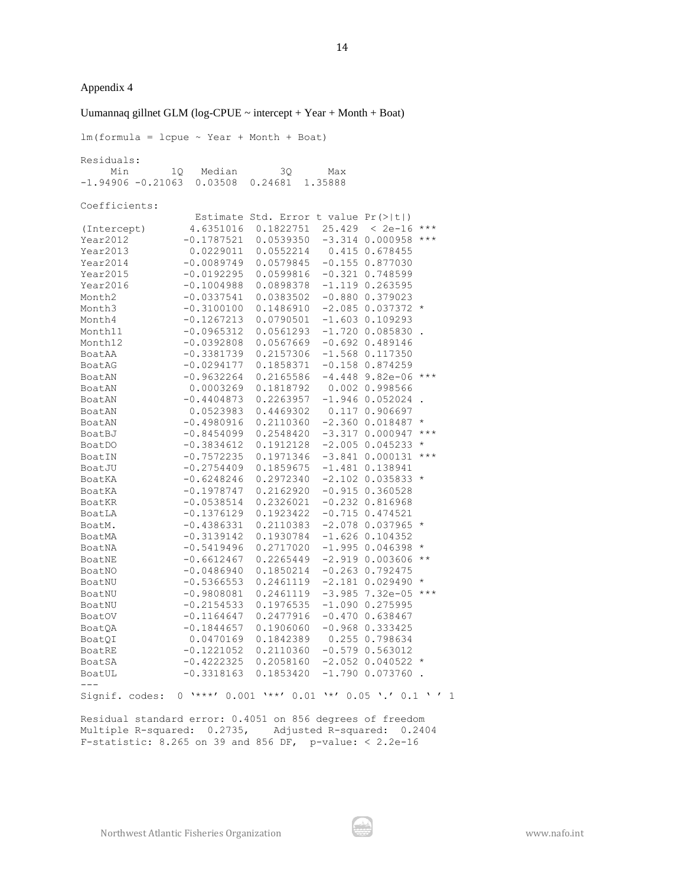#### Uumannaq gillnet GLM (log-CPUE  $\sim$  intercept + Year + Month + Boat)

 $lm(formula = lcpue ~ vlear + Month + Boat)$ Residuals: Min 1Q Median 3Q Max -1.94906 -0.21063 0.03508 0.24681 1.35888 Coefficients: Estimate Std. Error t value Pr(>|t|) (Intercept) 4.6351016 0.1822751 25.429 < 2e-16 \*\*\* Year2012 -0.1787521 0.0539350 -3.314 0.000958 \*\*\* Year2013 0.0229011 0.0552214 0.415 0.678455 Year2014 -0.0089749 0.0579845 -0.155 0.877030 Year2015 -0.0192295 0.0599816 -0.321 0.748599 Year2016 -0.1004988 0.0898378 -1.119 0.263595 Month2 -0.0337541 0.0383502 -0.880 0.379023 Month3 -0.3100100 0.1486910 -2.085 0.037372 \* Month4 -0.1267213 0.0790501 -1.603 0.109293 Month11 -0.0965312 0.0561293 -1.720 0.085830 Month12 -0.0392808 0.0567669 -0.692 0.489146 BoatAA -0.3381739 0.2157306 -1.568 0.117350 BoatAG -0.0294177 0.1858371 -0.158 0.874259 BoatAN -0.9632264 0.2165586 -4.448 9.82e-06 \*\*\* BoatAN 0.0003269 0.1818792 0.002 0.998566 BoatAN -0.4404873 0.2263957 -1.946 0.052024 . BoatAN 0.0523983 0.4469302 0.117 0.906697 BoatAN -0.4980916 0.2110360 -2.360 0.018487 \* BoatBJ -0.8454099 0.2548420 -3.317 0.000947 \*\*\* BoatDO -0.3834612 0.1912128 -2.005 0.045233 \* BoatIN -0.7572235 0.1971346 -3.841 0.000131 \*\*\* BoatJU -0.2754409 0.1859675 -1.481 0.138941 BoatKA -0.6248246 0.2972340 -2.102 0.035833 \* BoatKA -0.1978747 0.2162920 -0.915 0.360528 BoatKR -0.0538514 0.2326021 -0.232 0.816968 BoatLA -0.1376129 0.1923422 -0.715 0.474521 BoatM. -0.4386331 0.2110383 -2.078 0.037965 \* BoatMA -0.3139142 0.1930784 -1.626 0.104352 BoatNA -0.5419496 0.2717020 -1.995 0.046398 \* BoatNE -0.6612467 0.2265449 -2.919 0.003606 \*\* BoatNO -0.0486940 0.1850214 -0.263 0.792475 BoatNU -0.5366553 0.2461119 -2.181 0.029490 \* BoatNU -0.9808081 0.2461119 -3.985 7.32e-05 \*\*\* BoatNU -0.2154533 0.1976535 -1.090 0.275995 BoatOV -0.1164647 0.2477916 -0.470 0.638467 BoatQA -0.1844657 0.1906060 -0.968 0.333425<br>BoatQI 0.0470169 0.1842389 0.255 0.798634 BoatQI 0.0470169 0.1842389 BoatRE -0.1221052 0.2110360 -0.579 0.563012 BoatSA -0.4222325 0.2058160 -2.052 0.040522 BoatUL -0.3318163 0.1853420 -1.790 0.073760 . --- Signif. codes: 0 '\*\*\*' 0.001 '\*\*' 0.01 '\*' 0.05 '.' 0.1 ' ' 1 Residual standard error: 0.4051 on 856 degrees of freedom Multiple R-squared: 0.2735, Adjusted R-squared: 0.2404

F-statistic: 8.265 on 39 and 856 DF, p-value: < 2.2e-16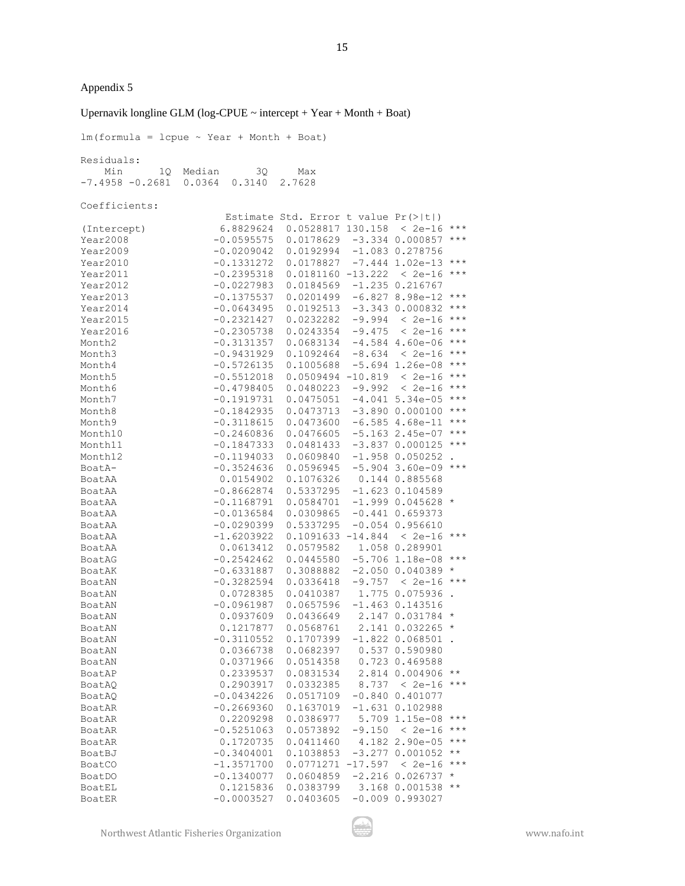#### Upernavik longline GLM (log-CPUE  $\sim$  intercept + Year + Month + Boat)

 $lm(formula = lcpue ~ Year + Month + Boat)$ Residuals: Min 1Q Median 3Q Max -7.4958 -0.2681 0.0364 0.3140 2.7628 Coefficients: Estimate Std. Error t value Pr(>|t|) (Intercept) 6.8829624 0.0528817 130.158 < 2e-16 \*\*\* Year2008 -0.0595575 0.0178629 -3.334 0.000857 \*\*\* Year2009 -0.0209042 0.0192994 -1.083 0.278756 Year2010 -0.1331272 0.0178827 -7.444 1.02e-13 \*\*\* Year2011 -0.2395318 0.0181160 -13.222 < 2e-16 \*\*\* Year2012 -0.0227983 0.0184569 -1.235 0.216767 Year2013 -0.1375537 0.0201499 -6.827 8.98e-12 \*\*\* Year2014 -0.0643495 0.0192513 -3.343 0.000832 \*\*\*  $Year2015$  -0.2321427 0.0232282 -9.994 < 2e-16 \*\*\*<br> $Year2016$  -0.2305738 0.0243354 -9.475 < 2e-16 \*\*\* Year2016 -0.2305738 0.0243354 -9.475 < 2e-16 \*\*\* Month2 -0.3131357 0.0683134 -4.584 4.60e-06 \*\*\* Month3 -0.9431929 0.1092464 -8.634 < 2e-16 \*\*\* Month4 -0.5726135 0.1005688 -5.694 1.26e-08 \*\*\* Month5 -0.5512018 0.0509494 -10.819 < 2e-16 \*\*\* Month6 -0.4798405 0.0480223 -9.992 < 2e-16 \*\*\* Month7 -0.1919731 0.0475051 -4.041 5.34e-05 \*\*\* Month8 -0.1842935 0.0473713 -3.890 0.000100 \*\*\* Month9 -0.3118615 0.0473600 -6.585 4.68e-11 \*\*\* Month10 -0.2460836 0.0476605 -5.163 2.45e-07 \*\*\* Month11 -0.1847333 0.0481433 -3.837 0.000125 \*\*\* Month12 -0.1194033 0.0609840 -1.958 0.050252 . BoatA- -0.3524636 0.0596945 -5.904 3.60e-09 \*\*\* BoatAA 0.0154902 0.1076326 0.144 0.885568 BoatAA -0.8662874 0.5337295 -1.623 0.104589 BoatAA -0.1168791 0.0584701 -1.999 0.045628 \* BoatAA -0.0136584 0.0309865 -0.441 0.659373 BoatAA -0.0290399 0.5337295 -0.054 0.956610 BoatAA -1.6203922 0.1091633 -14.844 < 2e-16 \*\*\* BoatAA 0.0613412 0.0579582 1.058 0.289901 BoatAG -0.2542462 0.0445580 -5.706 1.18e-08 \*\*\* BoatAK -0.6331887 0.3088882 -2.050 0.040389 \* BoatAN -0.3282594 0.0336418 -9.757 < 2e-16 \*\*\* BoatAN 0.0728385 0.0410387 1.775 0.075936 . BoatAN -0.0961987 0.0657596 -1.463 0.143516 BoatAN 0.0937609 0.0436649 2.147 0.031784 \* BoatAN 0.1217877 0.0568761 2.141 0.032265 \* BoatAN -0.3110552 0.1707399 -1.822 0.068501 .<br>BoatAN 0.0366738 0.0682397 0.537 0.590980 BoatAN 0.0366738 0.0682397 BoatAN 0.0371966 0.0514358 0.723 0.469588 BoatAP 0.2339537 0.0831534 2.814 0.004906 \*\* BoatAQ 0.2903917 0.0332385 8.737 < 2e-16 \*\*\* BoatAQ -0.0434226 0.0517109 -0.840 0.401077 BoatAR -0.2669360 0.1637019 -1.631 0.102988<br>BoatAR 0.2209298 0.0386977 5.709 1.15e-08 \*\*\* BoatAR 0.2209298 0.0386977 BoatAR -0.5251063 0.0573892 -9.150 < 2e-16 \*\*\* BoatAR 0.1720735 0.0411460 4.182 2.90e-05 \*\*\* BoatBJ -0.3404001 0.1038853 -3.277 0.001052 \*\* BoatCO -1.3571700 0.0771271 -17.597 < 2e-16 \*\*\* BoatDO -0.1340077 0.0604859 -2.216 0.026737 \* BoatEL 0.1215836 0.0383799 3.168 0.001538 \*\* BoatER -0.0003527 0.0403605 -0.009 0.993027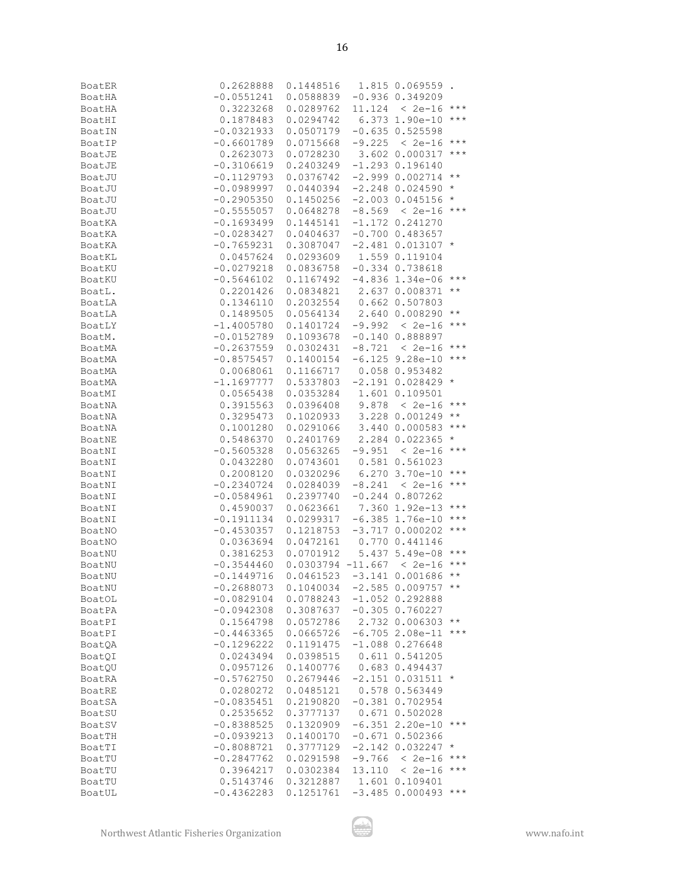| <b>BoatER</b> | 0.2628888    | 0.1448516                   |          | 1.815 0.069559.              |                   |
|---------------|--------------|-----------------------------|----------|------------------------------|-------------------|
| BoatHA        | $-0.0551241$ | 0.0588839                   |          | $-0.936$ $0.349209$          |                   |
| BoatHA        | 0.3223268    | 0.0289762                   |          | $11.124 \div 2e-16 \times x$ |                   |
|               | 0.1878483    | 0.0294742                   |          | $6.373$ 1.90e-10 ***         |                   |
| BoatHI        |              |                             |          |                              |                   |
| BoatIN        | $-0.0321933$ | 0.0507179                   |          | $-0.635 0.525598$            |                   |
| BoatIP        | $-0.6601789$ | 0.0715668                   |          | $-9.225 < 2e-16$ ***         |                   |
| BoatJE        | 0.2623073    | 0.0728230                   |          | 3.602 0.000317               | $***$             |
| BoatJE        | $-0.3106619$ | 0.2403249                   |          | $-1.293$ 0.196140            |                   |
| BoatJU        | $-0.1129793$ | 0.0376742                   |          | $-2.999 0.002714$ **         |                   |
| BoatJU        | $-0.0989997$ | 0.0440394                   |          | $-2.248$ 0.024590            | $\star$           |
| BoatJU        | $-0.2905350$ | 0.1450256                   |          | $-2.003$ 0.045156 *          |                   |
|               | $-0.5555057$ | 0.0648278                   |          |                              |                   |
| BoatJU        |              |                             |          | $-8.569 < 2e-16$ ***         |                   |
| BoatKA        | $-0.1693499$ | 0.1445141                   |          | $-1.172$ 0.241270            |                   |
| BoatKA        | $-0.0283427$ | 0.0404637                   |          | $-0.700$ 0.483657            |                   |
| BoatKA        | $-0.7659231$ | 0.3087047                   |          | $-2.481$ 0.013107 *          |                   |
| BoatKL        | 0.0457624    | 0.0293609                   |          | 1.559 0.119104               |                   |
| BoatKU        | $-0.0279218$ | 0.0836758                   |          | $-0.334$ $0.738618$          |                   |
| BoatKU        | $-0.5646102$ | 0.1167492                   |          | $-4.836$ 1.34e-06 ***        |                   |
| BoatL.        | 0.2201426    | 0.0834821                   |          | 2.637 0.008371 **            |                   |
| BoatLA        | 0.1346110    | 0.2032554 0.662 0.507803    |          |                              |                   |
|               |              |                             |          |                              |                   |
| BoatLA        | 0.1489505    | 0.0564134                   |          | 2.640 0.008290               | $\star$ $\star$   |
| BoatLY        | $-1.4005780$ | 0.1401724                   |          | $-9.992 < 2e-16$ ***         |                   |
| BoatM.        | $-0.0152789$ | 0.1093678                   |          | $-0.140$ $0.888897$          |                   |
| BoatMA        | $-0.2637559$ | 0.0302431                   |          | $-8.721 < 2e-16$ ***         |                   |
| BoatMA        | $-0.8575457$ | 0.1400154                   |          | $-6.125$ 9.28e-10 ***        |                   |
| BoatMA        | 0.0068061    | 0.1166717                   |          | 0.058 0.953482               |                   |
| BoatMA        | $-1.1697777$ | 0.5337803                   |          | $-2.191$ 0.028429 *          |                   |
|               |              |                             |          |                              |                   |
| BoatMI        | 0.0565438    | 0.0353284                   |          | 1.601 0.109501               |                   |
| BoatNA        | 0.3915563    | 0.0396408                   |          | 9.878 < 2e-16 ***            |                   |
| BoatNA        | 0.3295473    | 0.1020933                   |          | 3.228 0.001249               | $\star\star$      |
| BoatNA        | 0.1001280    | 0.0291066                   |          | 3.440 0.000583               | $***$             |
| BoatNE        | 0.5486370    | 0.2401769                   |          | 2.284 0.022365               | $\star$           |
| BoatNI        | $-0.5605328$ | 0.0563265                   |          | $-9.951 < 2e-16$ ***         |                   |
| BoatNI        | 0.0432280    | 0.0743601                   |          | 0.581 0.561023               |                   |
| BoatNI        | 0.2008120    | 0.0320296                   |          | $6.270$ 3.70e-10 ***         |                   |
|               |              |                             |          |                              |                   |
| BoatNI        | $-0.2340724$ | 0.0284039                   |          | $-8.241 < 2e-16$ ***         |                   |
| BoatNI        | $-0.0584961$ | 0.2397740                   |          | $-0.244$ $0.807262$          |                   |
| BoatNI        | 0.4590037    | 0.0623661                   |          | 7.360 1.92e-13 ***           |                   |
| BoatNI        | $-0.1911134$ | 0.0299317                   |          | $-6.385$ 1.76e-10 ***        |                   |
| BoatNO        | $-0.4530357$ | 0.1218753                   |          | $-3.717$ 0.000202            | $***$             |
| BoatNO        | 0.0363694    | 0.0472161                   |          | 0.770 0.441146               |                   |
| BoatNU        | 0.3816253    | 0.0701912                   |          | 5.437 5.49e-08 ***           |                   |
| BoatNU        | $-0.3544460$ | $0.0303794 -11.667 < 2e-16$ |          |                              | $\star\star\star$ |
|               |              |                             |          |                              | $\star$ $\star$   |
| BoatNU        | -0.1449716   | $0.0461523 -3.141 0.001686$ |          |                              |                   |
| BoatNU        | $-0.2688073$ | 0.1040034                   |          | $-2.585$ 0.009757 **         |                   |
| BoatOL        | $-0.0829104$ | 0.0788243                   |          | $-1.052$ 0.292888            |                   |
| BoatPA        | $-0.0942308$ | 0.3087637                   |          | $-0.305$ 0.760227            |                   |
| BoatPI        | 0.1564798    | 0.0572786                   |          | 2.732 0.006303               | $\star\star$      |
| BoatPI        | $-0.4463365$ | 0.0665726                   |          | $-6.705$ 2.08e-11            | $***$             |
| BoatQA        | $-0.1296222$ | 0.1191475                   |          | $-1.088$ 0.276648            |                   |
| BoatQI        | 0.0243494    | 0.0398515                   |          | 0.611 0.541205               |                   |
| BoatQU        | 0.0957126    | 0.1400776                   |          | 0.683 0.494437               |                   |
|               |              | 0.2679446                   |          |                              |                   |
| BoatRA        | $-0.5762750$ |                             |          | $-2.151$ 0.031511            | $\star$           |
| BoatRE        | 0.0280272    | 0.0485121                   |          | 0.578 0.563449               |                   |
| BoatSA        | $-0.0835451$ | 0.2190820                   |          | $-0.381$ 0.702954            |                   |
| BoatSU        | 0.2535652    | 0.3777137                   |          | 0.671 0.502028               |                   |
| BoatSV        | $-0.8388525$ | 0.1320909                   |          | $-6.351$ 2.20e-10            | $***$             |
| BoatTH        | $-0.0939213$ | 0.1400170                   |          | $-0.671$ $0.502366$          |                   |
| BoatTI        | $-0.8088721$ | 0.3777129                   |          | $-2.142$ 0.032247            | $\star$           |
| BoatTU        | $-0.2847762$ | 0.0291598                   | $-9.766$ | $< 2e-16$                    | $\star\star\star$ |
|               |              |                             |          |                              | $\star\star\star$ |
| BoatTU        | 0.3964217    | 0.0302384                   | 13.110   | $< 2e-16$                    |                   |
| BoatTU        | 0.5143746    | 0.3212887                   |          | 1.601 0.109401               |                   |
| BoatUL        | $-0.4362283$ | 0.1251761                   |          | $-3.485$ 0.000493            | $***$             |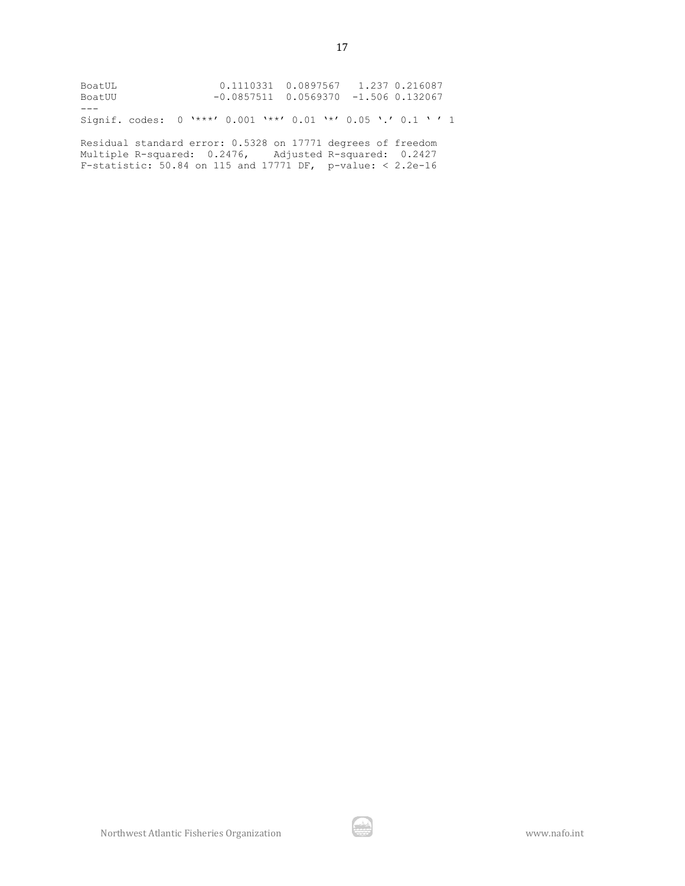| BoatUL<br>BoatUU                                                                                                      | 0.1110331  0.0897567  1.237  0.216087<br>$-0.0857511$ 0.0569370 $-1.506$ 0.132067 |  |  |
|-----------------------------------------------------------------------------------------------------------------------|-----------------------------------------------------------------------------------|--|--|
|                                                                                                                       |                                                                                   |  |  |
| Signif. codes: 0 '***' 0.001 '**' 0.01 '*' 0.05 '.' 0.1 '' 1                                                          |                                                                                   |  |  |
| Residual standard error: 0.5328 on 17771 degrees of freedom<br>Multiple R-squared: 0.2476, Adjusted R-squared: 0.2427 |                                                                                   |  |  |

F-statistic: 50.84 on 115 and 17771 DF, p-value: < 2.2e-16